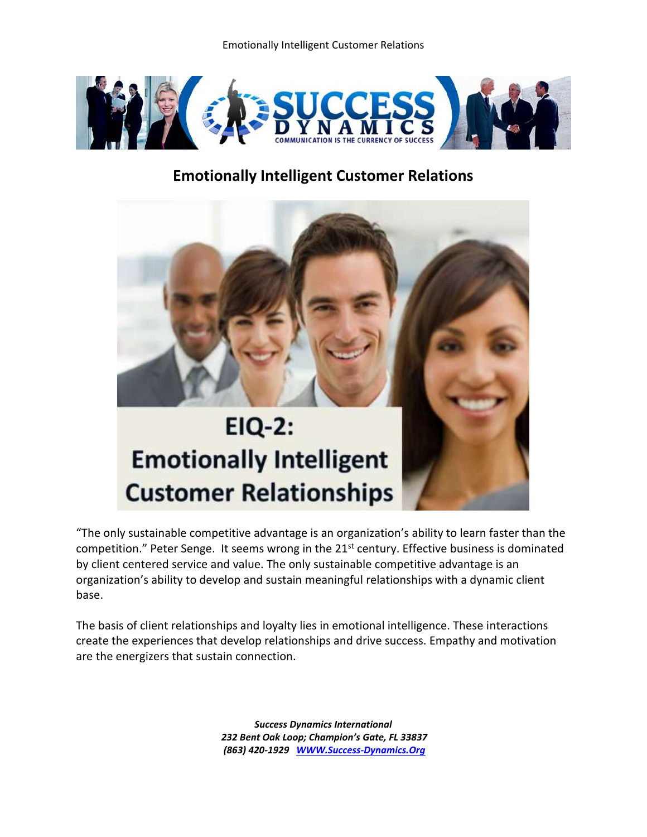

## **Emotionally Intelligent Customer Relations**



"The only sustainable competitive advantage is an organization's ability to learn faster than the competition." Peter Senge. It seems wrong in the 21<sup>st</sup> century. Effective business is dominated by client centered service and value. The only sustainable competitive advantage is an organization's ability to develop and sustain meaningful relationships with a dynamic client base.

The basis of client relationships and loyalty lies in emotional intelligence. These interactions create the experiences that develop relationships and drive success. Empathy and motivation are the energizers that sustain connection.

> *Success Dynamics International 232 Bent Oak Loop; Champion's Gate, FL 33837 (863) 420-1929 [WWW.Success-Dynamics.Org](http://www.success-dynamics.org/)*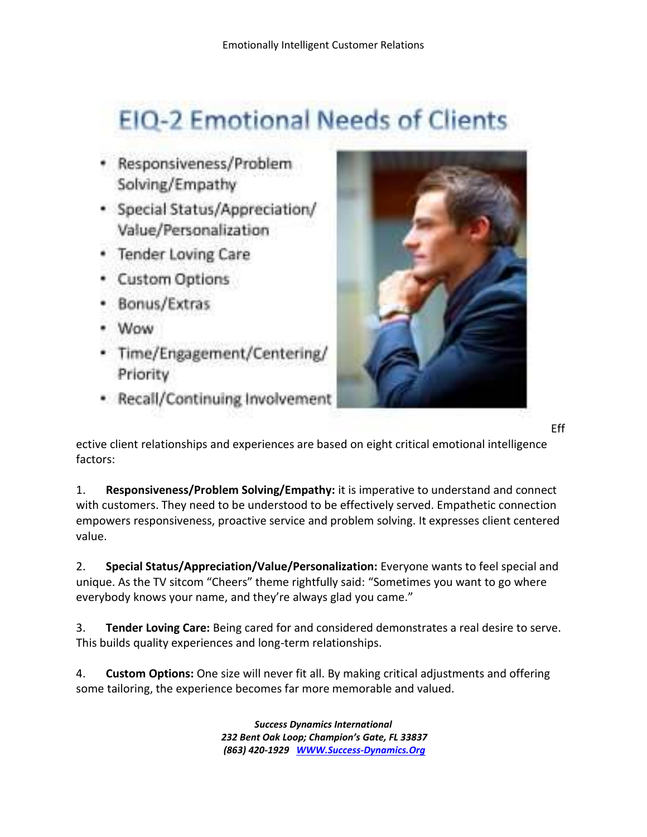## **EIQ-2 Emotional Needs of Clients**

- Responsiveness/Problem Solving/Empathy
- · Special Status/Appreciation/ Value/Personalization
- · Tender Loving Care
- · Custom Options
- Bonus/Extras
- Wow
- Time/Engagement/Centering/ Priority
- · Recall/Continuing Involvement



[E](http://success-dynamics.org/wp-content/uploads/2012/08/1.jpg)ff

ective client relationships and experiences are based on eight critical emotional intelligence factors:

1. **Responsiveness/Problem Solving/Empathy:** it is imperative to understand and connect with customers. They need to be understood to be effectively served. Empathetic connection empowers responsiveness, proactive service and problem solving. It expresses client centered value.

2. **Special Status/Appreciation/Value/Personalization:** Everyone wants to feel special and unique. As the TV sitcom "Cheers" theme rightfully said: "Sometimes you want to go where everybody knows your name, and they're always glad you came."

3. **Tender Loving Care:** Being cared for and considered demonstrates a real desire to serve. This builds quality experiences and long-term relationships.

4. **Custom Options:** One size will never fit all. By making critical adjustments and offering some tailoring, the experience becomes far more memorable and valued.

> *Success Dynamics International 232 Bent Oak Loop; Champion's Gate, FL 33837 (863) 420-1929 [WWW.Success-Dynamics.Org](http://www.success-dynamics.org/)*